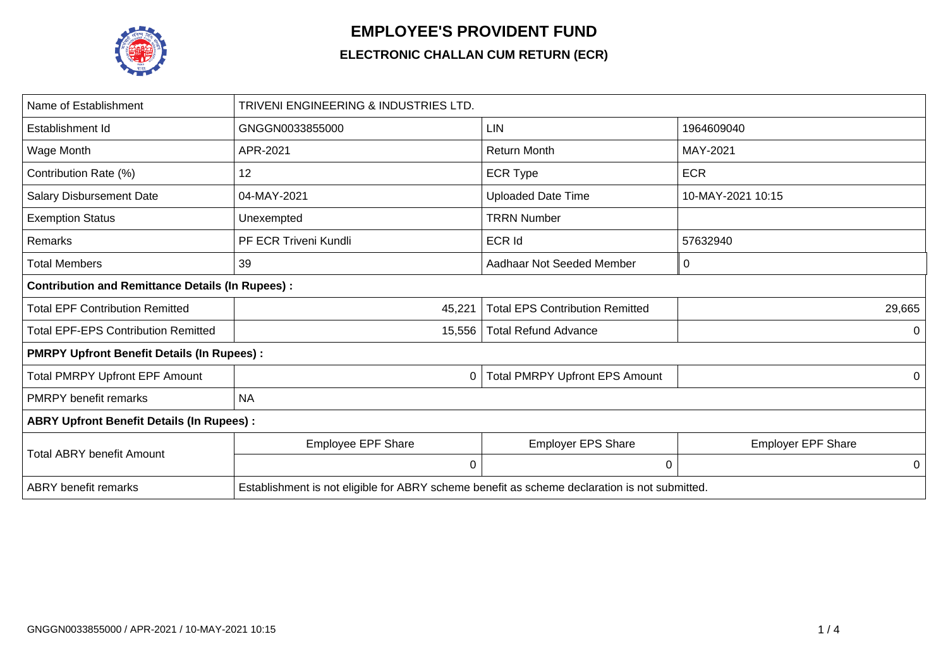

## **EMPLOYEE'S PROVIDENT FUND**

## **ELECTRONIC CHALLAN CUM RETURN (ECR)**

| Name of Establishment                                   | TRIVENI ENGINEERING & INDUSTRIES LTD.                                                         |                                        |                           |  |  |  |  |  |  |  |  |
|---------------------------------------------------------|-----------------------------------------------------------------------------------------------|----------------------------------------|---------------------------|--|--|--|--|--|--|--|--|
| Establishment Id                                        | GNGGN0033855000                                                                               | <b>LIN</b>                             | 1964609040                |  |  |  |  |  |  |  |  |
| Wage Month                                              | APR-2021                                                                                      | <b>Return Month</b>                    | MAY-2021                  |  |  |  |  |  |  |  |  |
| Contribution Rate (%)                                   | 12                                                                                            | <b>ECR Type</b>                        | <b>ECR</b>                |  |  |  |  |  |  |  |  |
| <b>Salary Disbursement Date</b>                         | 04-MAY-2021                                                                                   | <b>Uploaded Date Time</b>              | 10-MAY-2021 10:15         |  |  |  |  |  |  |  |  |
| <b>Exemption Status</b>                                 | Unexempted                                                                                    | <b>TRRN Number</b>                     |                           |  |  |  |  |  |  |  |  |
| Remarks                                                 | PF ECR Triveni Kundli                                                                         | <b>ECR Id</b>                          | 57632940                  |  |  |  |  |  |  |  |  |
| Total Members                                           | 39                                                                                            | Aadhaar Not Seeded Member              | 0                         |  |  |  |  |  |  |  |  |
| <b>Contribution and Remittance Details (In Rupees):</b> |                                                                                               |                                        |                           |  |  |  |  |  |  |  |  |
| <b>Total EPF Contribution Remitted</b>                  | 45,221                                                                                        | <b>Total EPS Contribution Remitted</b> | 29,665                    |  |  |  |  |  |  |  |  |
| <b>Total EPF-EPS Contribution Remitted</b>              | 15,556                                                                                        | <b>Total Refund Advance</b>            | 0                         |  |  |  |  |  |  |  |  |
| <b>PMRPY Upfront Benefit Details (In Rupees):</b>       |                                                                                               |                                        |                           |  |  |  |  |  |  |  |  |
| <b>Total PMRPY Upfront EPF Amount</b>                   | 0                                                                                             | <b>Total PMRPY Upfront EPS Amount</b>  | 0                         |  |  |  |  |  |  |  |  |
| <b>PMRPY</b> benefit remarks                            | <b>NA</b>                                                                                     |                                        |                           |  |  |  |  |  |  |  |  |
| <b>ABRY Upfront Benefit Details (In Rupees):</b>        |                                                                                               |                                        |                           |  |  |  |  |  |  |  |  |
| <b>Total ABRY benefit Amount</b>                        | Employee EPF Share                                                                            | <b>Employer EPS Share</b>              | <b>Employer EPF Share</b> |  |  |  |  |  |  |  |  |
|                                                         | $\Omega$                                                                                      | 0                                      | 0                         |  |  |  |  |  |  |  |  |
| <b>ABRY</b> benefit remarks                             | Establishment is not eligible for ABRY scheme benefit as scheme declaration is not submitted. |                                        |                           |  |  |  |  |  |  |  |  |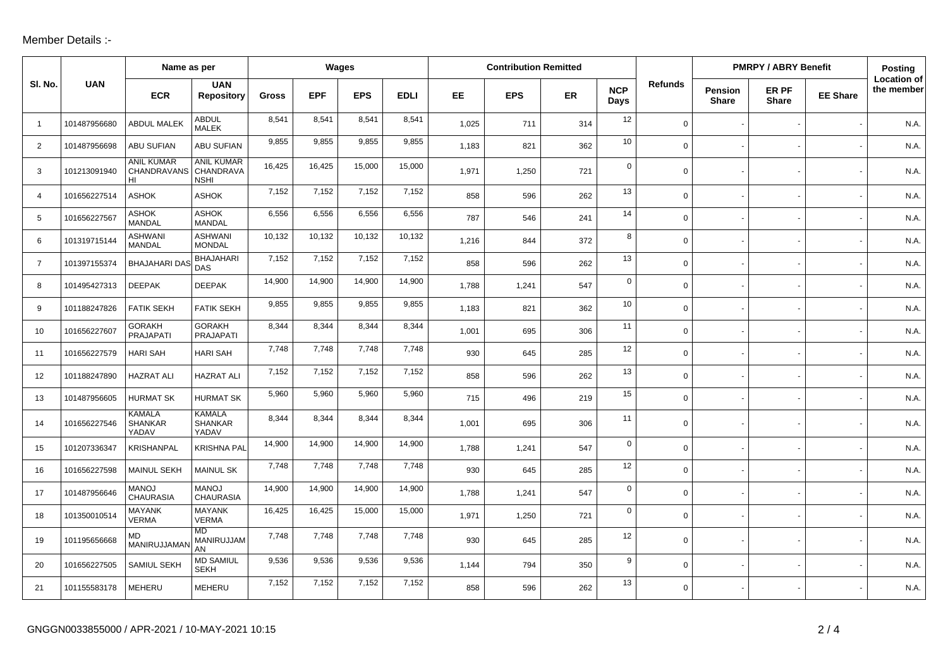## Member Details :-

|                 |              | Name as per                                   |                                               | Wages  |            |            | <b>Contribution Remitted</b> |           |            |     |                    | <b>PMRPY / ABRY Benefit</b> |                                |                       | <b>Posting</b>  |                                  |
|-----------------|--------------|-----------------------------------------------|-----------------------------------------------|--------|------------|------------|------------------------------|-----------|------------|-----|--------------------|-----------------------------|--------------------------------|-----------------------|-----------------|----------------------------------|
| SI. No.         | <b>UAN</b>   | <b>ECR</b>                                    | <b>UAN</b><br><b>Repository</b>               | Gross  | <b>EPF</b> | <b>EPS</b> | <b>EDLI</b>                  | <b>EE</b> | <b>EPS</b> | ER  | <b>NCP</b><br>Days | <b>Refunds</b>              | <b>Pension</b><br><b>Share</b> | ER PF<br><b>Share</b> | <b>EE Share</b> | <b>Location of</b><br>the member |
| $\overline{1}$  | 101487956680 | <b>ABDUL MALEK</b>                            | <b>ABDUL</b><br><b>MALEK</b>                  | 8,541  | 8,541      | 8,541      | 8,541                        | 1,025     | 711        | 314 | 12                 | $\mathbf 0$                 |                                |                       |                 | N.A.                             |
| $\overline{2}$  | 101487956698 | <b>ABU SUFIAN</b>                             | <b>ABU SUFIAN</b>                             | 9,855  | 9,855      | 9,855      | 9,855                        | 1,183     | 821        | 362 | 10                 | $\mathbf 0$                 |                                |                       |                 | N.A.                             |
| 3               | 101213091940 | <b>ANIL KUMAR</b><br><b>CHANDRAVANS</b><br>HI | <b>ANIL KUMAR</b><br>CHANDRAVA<br><b>NSHI</b> | 16,425 | 16,425     | 15,000     | 15,000                       | 1,971     | 1,250      | 721 | $\mathsf{O}$       | $\mathbf 0$                 |                                |                       |                 | N.A.                             |
| $\overline{4}$  | 101656227514 | <b>ASHOK</b>                                  | <b>ASHOK</b>                                  | 7,152  | 7,152      | 7,152      | 7,152                        | 858       | 596        | 262 | 13                 | $\mathbf 0$                 |                                |                       |                 | N.A.                             |
| $5\overline{)}$ | 101656227567 | <b>ASHOK</b><br><b>MANDAL</b>                 | <b>ASHOK</b><br><b>MANDAL</b>                 | 6,556  | 6,556      | 6,556      | 6,556                        | 787       | 546        | 241 | 14                 | $\mathbf 0$                 |                                |                       |                 | N.A.                             |
| 6               | 101319715144 | <b>ASHWANI</b><br><b>MANDAL</b>               | <b>ASHWANI</b><br><b>MONDAL</b>               | 10,132 | 10,132     | 10,132     | 10,132                       | 1,216     | 844        | 372 | 8                  | $\mathbf 0$                 |                                |                       |                 | N.A                              |
| $\overline{7}$  | 101397155374 | <b>BHAJAHARI DA</b>                           | <b>BHAJAHARI</b><br><b>DAS</b>                | 7,152  | 7,152      | 7,152      | 7,152                        | 858       | 596        | 262 | 13                 | $\mathbf 0$                 |                                |                       |                 | N.A.                             |
| 8               | 101495427313 | <b>DEEPAK</b>                                 | <b>DEEPAK</b>                                 | 14,900 | 14,900     | 14,900     | 14,900                       | 1,788     | 1,241      | 547 | $\mathbf 0$        | $\mathbf 0$                 |                                |                       |                 | N.A.                             |
| 9               | 101188247826 | <b>FATIK SEKH</b>                             | <b>FATIK SEKH</b>                             | 9,855  | 9,855      | 9,855      | 9,855                        | 1,183     | 821        | 362 | 10                 | $\mathbf 0$                 |                                |                       |                 | N.A.                             |
| 10              | 101656227607 | <b>GORAKH</b><br><b>PRAJAPATI</b>             | <b>GORAKH</b><br>PRAJAPATI                    | 8,344  | 8,344      | 8,344      | 8,344                        | 1,001     | 695        | 306 | 11                 | $\mathbf 0$                 |                                |                       |                 | N.A.                             |
| 11              | 101656227579 | <b>HARI SAH</b>                               | <b>HARI SAH</b>                               | 7,748  | 7,748      | 7,748      | 7,748                        | 930       | 645        | 285 | 12                 | $\mathbf 0$                 |                                |                       |                 | N.A.                             |
| 12              | 101188247890 | <b>HAZRAT ALI</b>                             | <b>HAZRAT ALI</b>                             | 7,152  | 7,152      | 7,152      | 7,152                        | 858       | 596        | 262 | 13                 | $\mathbf 0$                 |                                |                       |                 | N.A.                             |
| 13              | 101487956605 | <b>HURMAT SK</b>                              | <b>HURMAT SK</b>                              | 5,960  | 5,960      | 5,960      | 5,960                        | 715       | 496        | 219 | 15                 | $\mathbf 0$                 |                                |                       |                 | N.A.                             |
| 14              | 101656227546 | <b>KAMALA</b><br><b>SHANKAR</b><br>YADAV      | <b>KAMALA</b><br><b>SHANKAR</b><br>YADAV      | 8,344  | 8,344      | 8,344      | 8,344                        | 1,001     | 695        | 306 | 11                 | $\mathbf 0$                 |                                |                       |                 | N.A.                             |
| 15              | 101207336347 | <b>KRISHANPAL</b>                             | <b>KRISHNA PAL</b>                            | 14,900 | 14,900     | 14,900     | 14,900                       | 1,788     | 1,241      | 547 | $\mathsf{O}$       | $\mathbf 0$                 |                                |                       |                 | N.A.                             |
| 16              | 101656227598 | <b>MAINUL SEKH</b>                            | <b>MAINUL SK</b>                              | 7,748  | 7,748      | 7,748      | 7,748                        | 930       | 645        | 285 | 12                 | $\mathbf 0$                 |                                |                       |                 | N.A.                             |
| 17              | 101487956646 | <b>MANOJ</b><br><b>CHAURASIA</b>              | <b>MANOJ</b><br><b>CHAURASIA</b>              | 14,900 | 14,900     | 14,900     | 14,900                       | 1,788     | 1,241      | 547 | $\mathbf 0$        | $\mathbf 0$                 |                                |                       |                 | N.A.                             |
| 18              | 101350010514 | <b>MAYANK</b><br><b>VERMA</b>                 | <b>MAYANK</b><br><b>VERMA</b>                 | 16,425 | 16,425     | 15,000     | 15,000                       | 1,971     | 1,250      | 721 | $\mathbf 0$        | $\mathbf 0$                 |                                |                       |                 | N.A.                             |
| 19              | 101195656668 | MD<br>MANIRUJJAMA                             | <b>MD</b><br>MANIRUJJAM<br>AN                 | 7,748  | 7,748      | 7,748      | 7,748                        | 930       | 645        | 285 | 12                 | $\mathbf 0$                 |                                |                       |                 | N.A.                             |
| 20              | 101656227505 | SAMIUL SEKH                                   | <b>MD SAMIUL</b><br><b>SEKH</b>               | 9,536  | 9,536      | 9,536      | 9,536                        | 1,144     | 794        | 350 | 9                  | $\mathbf 0$                 |                                |                       |                 | N.A.                             |
| 21              | 101155583178 | <b>MEHERU</b>                                 | <b>MEHERU</b>                                 | 7,152  | 7,152      | 7,152      | 7,152                        | 858       | 596        | 262 | 13                 | $\mathbf 0$                 |                                |                       |                 | N.A.                             |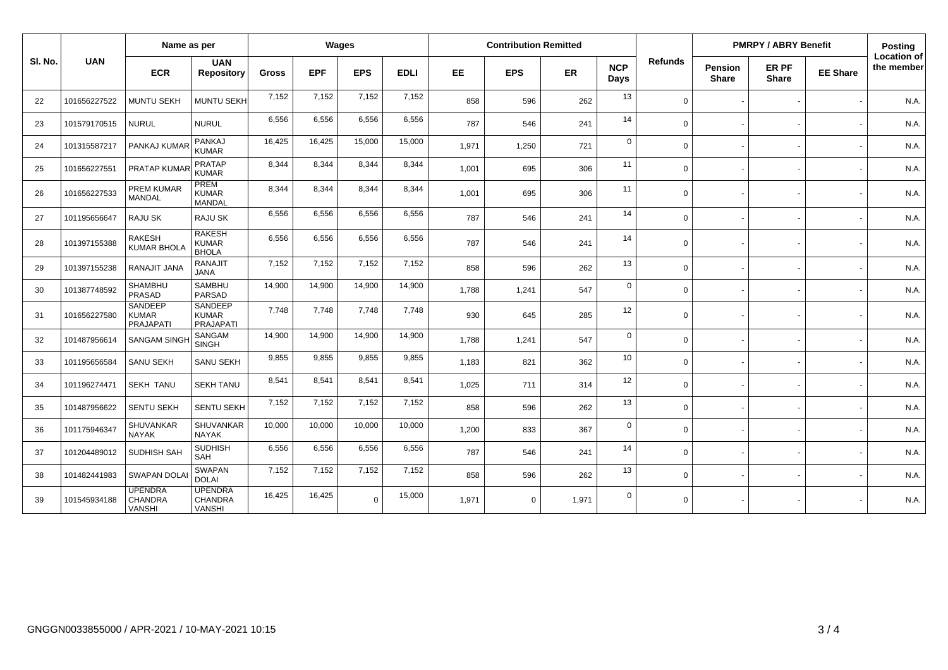|         |              |                                                    | Name as per                                        |              | Wages      |            |             | <b>Contribution Remitted</b> |             |       |                    |                | <b>PMRPY / ABRY Benefit</b>    |                       |                 | Posting                   |
|---------|--------------|----------------------------------------------------|----------------------------------------------------|--------------|------------|------------|-------------|------------------------------|-------------|-------|--------------------|----------------|--------------------------------|-----------------------|-----------------|---------------------------|
| SI. No. | <b>UAN</b>   | <b>ECR</b>                                         | <b>UAN</b><br><b>Repository</b>                    | <b>Gross</b> | <b>EPF</b> | <b>EPS</b> | <b>EDLI</b> | EE.                          | <b>EPS</b>  | ER    | <b>NCP</b><br>Days | <b>Refunds</b> | <b>Pension</b><br><b>Share</b> | ER PF<br><b>Share</b> | <b>EE Share</b> | Location of<br>the member |
| 22      | 101656227522 | <b>MUNTU SEKH</b>                                  | MUNTU SEKH                                         | 7,152        | 7,152      | 7,152      | 7,152       | 858                          | 596         | 262   | 13                 | $\Omega$       |                                |                       |                 | N.A.                      |
| 23      | 101579170515 | <b>NURUL</b>                                       | <b>NURUL</b>                                       | 6,556        | 6,556      | 6,556      | 6,556       | 787                          | 546         | 241   | 14                 | $\Omega$       |                                |                       |                 | N.A.                      |
| 24      | 101315587217 | PANKAJ KUMAR                                       | PANKAJ<br><b>KUMAR</b>                             | 16,425       | 16,425     | 15,000     | 15,000      | 1,971                        | 1,250       | 721   | $\mathbf 0$        | $\Omega$       |                                |                       |                 | N.A.                      |
| 25      | 101656227551 | PRATAP KUMAF                                       | <b>PRATAP</b><br><b>KUMAR</b>                      | 8,344        | 8,344      | 8,344      | 8,344       | 1,001                        | 695         | 306   | 11                 | $\Omega$       |                                |                       |                 | N.A.                      |
| 26      | 101656227533 | <b>PREM KUMAR</b><br><b>MANDAL</b>                 | PREM<br><b>KUMAR</b><br>MANDAL                     | 8,344        | 8,344      | 8,344      | 8,344       | 1,001                        | 695         | 306   | 11                 | $\Omega$       |                                |                       |                 | N.A.                      |
| 27      | 101195656647 | RAJU SK                                            | <b>RAJU SK</b>                                     | 6,556        | 6,556      | 6,556      | 6,556       | 787                          | 546         | 241   | 14                 | $\Omega$       |                                |                       |                 | N.A.                      |
| 28      | 101397155388 | <b>RAKESH</b><br><b>KUMAR BHOLA</b>                | <b>RAKESH</b><br><b>KUMAR</b><br><b>BHOLA</b>      | 6,556        | 6,556      | 6,556      | 6,556       | 787                          | 546         | 241   | 14                 | $\Omega$       |                                |                       |                 | N.A.                      |
| 29      | 101397155238 | RANAJIT JANA                                       | <b>RANAJIT</b><br><b>JANA</b>                      | 7,152        | 7,152      | 7,152      | 7,152       | 858                          | 596         | 262   | 13                 | $\Omega$       |                                |                       |                 | N.A.                      |
| 30      | 101387748592 | SHAMBHU<br>PRASAD                                  | <b>SAMBHU</b><br><b>PARSAD</b>                     | 14,900       | 14,900     | 14,900     | 14,900      | 1.788                        | 1,241       | 547   | $\mathbf 0$        | $\Omega$       |                                |                       |                 | N.A.                      |
| 31      | 101656227580 | <b>SANDEEP</b><br><b>KUMAR</b><br><b>PRAJAPATI</b> | <b>SANDEEP</b><br><b>KUMAR</b><br><b>PRAJAPATI</b> | 7,748        | 7,748      | 7,748      | 7,748       | 930                          | 645         | 285   | 12                 | $\Omega$       |                                |                       |                 | N.A.                      |
| 32      | 101487956614 | <b>SANGAM SING</b>                                 | SANGAM<br><b>SINGH</b>                             | 14,900       | 14,900     | 14,900     | 14,900      | 1.788                        | 1,241       | 547   | $\mathbf 0$        | $\Omega$       |                                |                       |                 | N.A.                      |
| 33      | 101195656584 | <b>SANU SEKH</b>                                   | <b>SANU SEKH</b>                                   | 9,855        | 9,855      | 9,855      | 9,855       | 1.183                        | 821         | 362   | 10                 | $\Omega$       |                                |                       |                 | N.A.                      |
| 34      | 101196274471 | <b>SEKH TANU</b>                                   | <b>SEKH TANU</b>                                   | 8,541        | 8,541      | 8,541      | 8,541       | 1,025                        | 711         | 314   | 12                 | $\Omega$       |                                |                       |                 | N.A.                      |
| 35      | 101487956622 | <b>SENTU SEKH</b>                                  | <b>SENTU SEKH</b>                                  | 7,152        | 7,152      | 7,152      | 7,152       | 858                          | 596         | 262   | 13                 | $\Omega$       |                                |                       |                 | N.A.                      |
| 36      | 101175946347 | SHUVANKAR<br><b>NAYAK</b>                          | SHUVANKAR<br><b>NAYAK</b>                          | 10,000       | 10,000     | 10,000     | 10,000      | 1,200                        | 833         | 367   | $\mathbf 0$        | $\Omega$       |                                |                       |                 | N.A.                      |
| 37      | 101204489012 | <b>SUDHISH SAH</b>                                 | <b>SUDHISH</b><br>SAH                              | 6,556        | 6,556      | 6,556      | 6,556       | 787                          | 546         | 241   | 14                 | $\Omega$       |                                |                       |                 | N.A.                      |
| 38      | 101482441983 | <b>SWAPAN DOLA</b>                                 | <b>SWAPAN</b><br><b>DOLAI</b>                      | 7,152        | 7,152      | 7,152      | 7,152       | 858                          | 596         | 262   | 13                 | $\Omega$       |                                |                       |                 | N.A.                      |
| 39      | 101545934188 | <b>UPENDRA</b><br><b>CHANDRA</b><br><b>VANSHI</b>  | <b>UPENDRA</b><br><b>CHANDRA</b><br><b>VANSHI</b>  | 16,425       | 16,425     | $\Omega$   | 15,000      | 1,971                        | $\mathbf 0$ | 1,971 | $\mathbf 0$        | $\Omega$       |                                |                       |                 | N.A.                      |